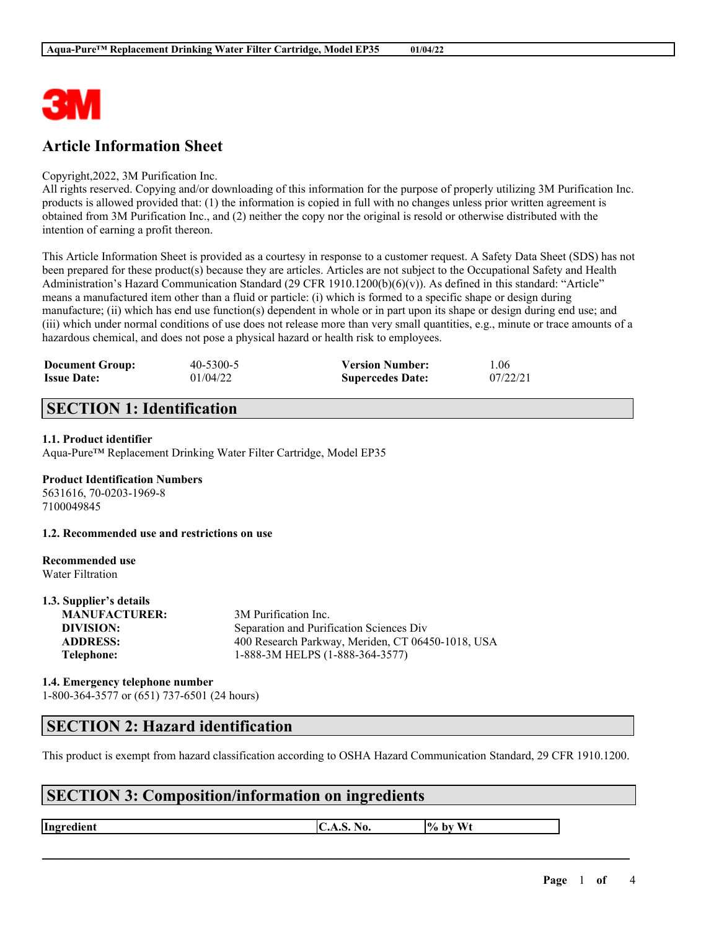

# **Article Information Sheet**

#### Copyright,2022, 3M Purification Inc.

All rights reserved. Copying and/or downloading of this information for the purpose of properly utilizing 3M Purification Inc. products is allowed provided that: (1) the information is copied in full with no changes unless prior written agreement is obtained from 3M Purification Inc., and (2) neither the copy nor the original is resold or otherwise distributed with the intention of earning a profit thereon.

This Article Information Sheet is provided as a courtesy in response to a customer request. A Safety Data Sheet (SDS) has not been prepared for these product(s) because they are articles. Articles are not subject to the Occupational Safety and Health Administration's Hazard Communication Standard (29 CFR 1910.1200(b)(6)(v)). As defined in this standard: "Article" means a manufactured item other than a fluid or particle: (i) which is formed to a specific shape or design during manufacture; (ii) which has end use function(s) dependent in whole or in part upon its shape or design during end use; and (iii) which under normal conditions of use does not release more than very small quantities, e.g., minute or trace amounts of a hazardous chemical, and does not pose a physical hazard or health risk to employees.

| <b>Document Group:</b> | 40-5300-5 | <b>Version Number:</b>  | 1.06     |
|------------------------|-----------|-------------------------|----------|
| <b>Issue Date:</b>     | 01/04/22  | <b>Supercedes Date:</b> | 07/22/21 |

# **SECTION 1: Identification**

#### **1.1. Product identifier**

Aqua-Pure™ Replacement Drinking Water Filter Cartridge, Model EP35

#### **Product Identification Numbers**

5631616, 70-0203-1969-8 7100049845

**1.2. Recommended use and restrictions on use**

#### **Recommended use** Water Filtration

**1.3. Supplier's details**

| 1.3. Supplier's details |                                                   |
|-------------------------|---------------------------------------------------|
| <b>MANUFACTURER:</b>    | 3M Purification Inc.                              |
| DIVISION:               | Separation and Purification Sciences Div          |
| <b>ADDRESS:</b>         | 400 Research Parkway, Meriden, CT 06450-1018, USA |
| Telephone:              | 1-888-3M HELPS (1-888-364-3577)                   |
|                         |                                                   |

### **1.4. Emergency telephone number** 1-800-364-3577 or (651) 737-6501 (24 hours)

## **SECTION 2: Hazard identification**

This product is exempt from hazard classification according to OSHA Hazard Communication Standard, 29 CFR 1910.1200.

 $\mathcal{L}_\mathcal{L} = \mathcal{L}_\mathcal{L} = \mathcal{L}_\mathcal{L} = \mathcal{L}_\mathcal{L} = \mathcal{L}_\mathcal{L} = \mathcal{L}_\mathcal{L} = \mathcal{L}_\mathcal{L} = \mathcal{L}_\mathcal{L} = \mathcal{L}_\mathcal{L} = \mathcal{L}_\mathcal{L} = \mathcal{L}_\mathcal{L} = \mathcal{L}_\mathcal{L} = \mathcal{L}_\mathcal{L} = \mathcal{L}_\mathcal{L} = \mathcal{L}_\mathcal{L} = \mathcal{L}_\mathcal{L} = \mathcal{L}_\mathcal{L}$ 

# **SECTION 3: Composition/information on ingredients**

**Ingredient C.A.S.** No.  $\begin{bmatrix} \phi & \phi \end{bmatrix}$  by Wt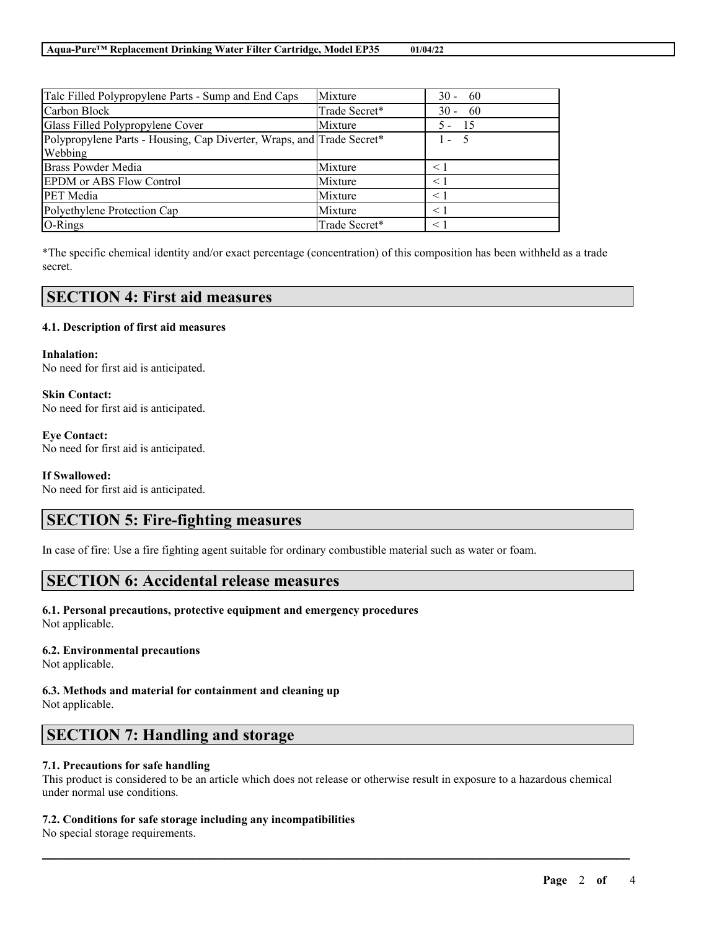| Talc Filled Polypropylene Parts - Sump and End Caps                   | Mixture       | $30 - 60$     |
|-----------------------------------------------------------------------|---------------|---------------|
| Carbon Block                                                          | Trade Secret* | $30 - 60$     |
| Glass Filled Polypropylene Cover                                      | Mixture       | - 15<br>$5 -$ |
| Polypropylene Parts - Housing, Cap Diverter, Wraps, and Trade Secret* |               | $1 - 5$       |
| Webbing                                                               |               |               |
| <b>Brass Powder Media</b>                                             | Mixture       | $\leq 1$      |
| <b>EPDM</b> or ABS Flow Control                                       | Mixture       | $\leq 1$      |
| <b>PET</b> Media                                                      | Mixture       | $\leq$ 1      |
| Polyethylene Protection Cap                                           | Mixture       | $\leq 1$      |
| O-Rings                                                               | Trade Secret* | $\leq$ 1      |

\*The specific chemical identity and/or exact percentage (concentration) of this composition has been withheld as a trade secret.

## **SECTION 4: First aid measures**

#### **4.1. Description of first aid measures**

**Inhalation:** No need for first aid is anticipated.

**Skin Contact:** No need for first aid is anticipated.

**Eye Contact:** No need for first aid is anticipated.

#### **If Swallowed:**

No need for first aid is anticipated.

## **SECTION 5: Fire-fighting measures**

In case of fire: Use a fire fighting agent suitable for ordinary combustible material such as water or foam.

## **SECTION 6: Accidental release measures**

### **6.1. Personal precautions, protective equipment and emergency procedures**

Not applicable.

### **6.2. Environmental precautions**

Not applicable.

#### **6.3. Methods and material for containment and cleaning up** Not applicable.

## **SECTION 7: Handling and storage**

### **7.1. Precautions for safe handling**

This product is considered to be an article which does not release or otherwise result in exposure to a hazardous chemical under normal use conditions.

 $\mathcal{L}_\mathcal{L} = \mathcal{L}_\mathcal{L} = \mathcal{L}_\mathcal{L} = \mathcal{L}_\mathcal{L} = \mathcal{L}_\mathcal{L} = \mathcal{L}_\mathcal{L} = \mathcal{L}_\mathcal{L} = \mathcal{L}_\mathcal{L} = \mathcal{L}_\mathcal{L} = \mathcal{L}_\mathcal{L} = \mathcal{L}_\mathcal{L} = \mathcal{L}_\mathcal{L} = \mathcal{L}_\mathcal{L} = \mathcal{L}_\mathcal{L} = \mathcal{L}_\mathcal{L} = \mathcal{L}_\mathcal{L} = \mathcal{L}_\mathcal{L}$ 

### **7.2. Conditions for safe storage including any incompatibilities**

No special storage requirements.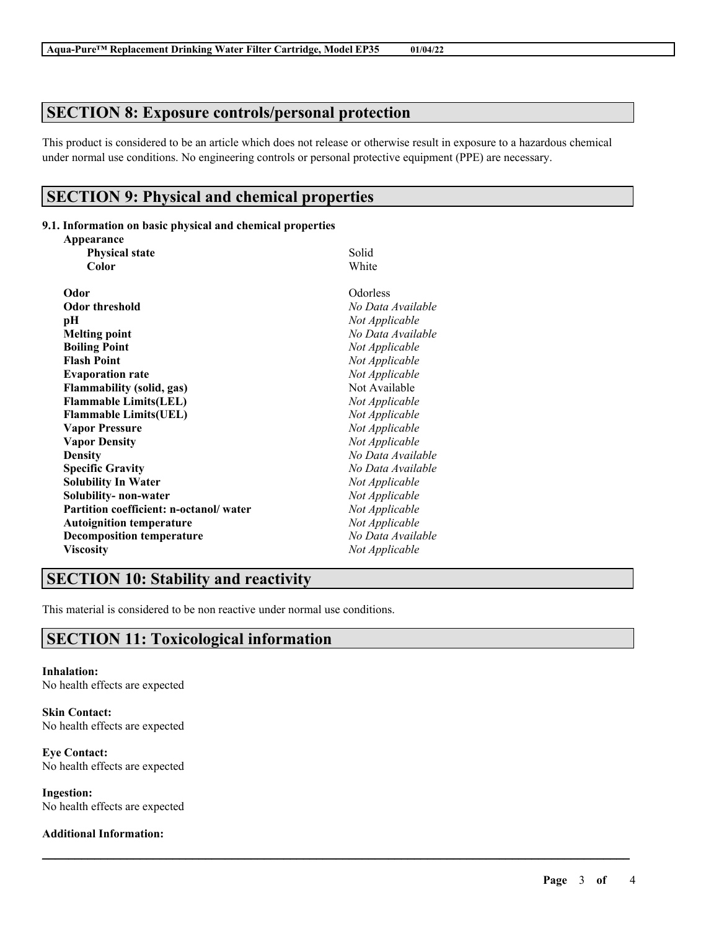# **SECTION 8: Exposure controls/personal protection**

This product is considered to be an article which does not release or otherwise result in exposure to a hazardous chemical under normal use conditions. No engineering controls or personal protective equipment (PPE) are necessary.

 $\mathcal{L}_\mathcal{L} = \mathcal{L}_\mathcal{L} = \mathcal{L}_\mathcal{L} = \mathcal{L}_\mathcal{L} = \mathcal{L}_\mathcal{L} = \mathcal{L}_\mathcal{L} = \mathcal{L}_\mathcal{L} = \mathcal{L}_\mathcal{L} = \mathcal{L}_\mathcal{L} = \mathcal{L}_\mathcal{L} = \mathcal{L}_\mathcal{L} = \mathcal{L}_\mathcal{L} = \mathcal{L}_\mathcal{L} = \mathcal{L}_\mathcal{L} = \mathcal{L}_\mathcal{L} = \mathcal{L}_\mathcal{L} = \mathcal{L}_\mathcal{L}$ 

## **SECTION 9: Physical and chemical properties**

### **9.1. Information on basic physical and chemical properties**

| Appearance                             |                   |  |
|----------------------------------------|-------------------|--|
| <b>Physical state</b>                  | Solid<br>White    |  |
| Color                                  |                   |  |
| Odor                                   | Odorless          |  |
| <b>Odor threshold</b>                  | No Data Available |  |
| pН                                     | Not Applicable    |  |
| <b>Melting point</b>                   | No Data Available |  |
| <b>Boiling Point</b>                   | Not Applicable    |  |
| <b>Flash Point</b>                     | Not Applicable    |  |
| <b>Evaporation rate</b>                | Not Applicable    |  |
| <b>Flammability (solid, gas)</b>       | Not Available     |  |
| <b>Flammable Limits(LEL)</b>           | Not Applicable    |  |
| <b>Flammable Limits(UEL)</b>           | Not Applicable    |  |
| <b>Vapor Pressure</b>                  | Not Applicable    |  |
| <b>Vapor Density</b>                   | Not Applicable    |  |
| <b>Density</b>                         | No Data Available |  |
| <b>Specific Gravity</b>                | No Data Available |  |
| <b>Solubility In Water</b>             | Not Applicable    |  |
| Solubility- non-water                  | Not Applicable    |  |
| Partition coefficient: n-octanol/water | Not Applicable    |  |
| <b>Autoignition temperature</b>        | Not Applicable    |  |
| <b>Decomposition temperature</b>       | No Data Available |  |
| <b>Viscosity</b>                       | Not Applicable    |  |

# **SECTION 10: Stability and reactivity**

This material is considered to be non reactive under normal use conditions.

# **SECTION 11: Toxicological information**

**Inhalation:** No health effects are expected

**Skin Contact:** No health effects are expected

**Eye Contact:** No health effects are expected

**Ingestion:** No health effects are expected

### **Additional Information:**